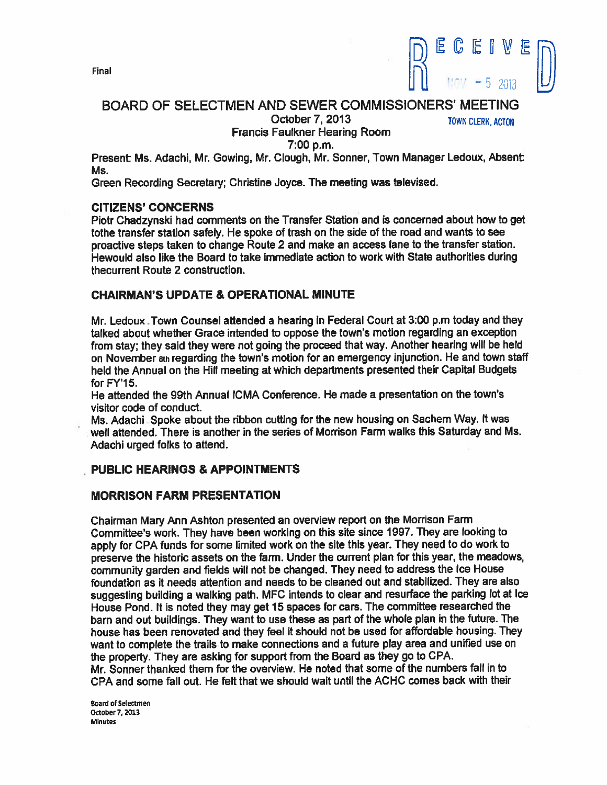

# BOARD OF SELECTMEN AND SEWER COMMISSIONERS' MEETING

October 7, 2013 TOWN CLERK, ACTON

# Francis Faulkner Hearing Room

7:00 p.m.

Present: Ms. Adachi, Mr. Cowing, Mr. Clough, Mr. Sonner, Town Manager Ledoux, Absent: Ms.

Green Recording Secretary; Christine Joyce. The meeting was televised.

#### CITIZENS' CONCERNS

Piotr Chadzynski had comments on the Transfer Station and is concerned about how to ge<sup>t</sup> tothe transfer station safely. He spoke of trash on the side of the road and wants to see proactive steps taken to change Route <sup>2</sup> and make an access lane to the transfer station. Hewould also like the Board to take Immediate action to work with State authorities during thecurrent Route 2 construction.

#### CHAIRMAN'S UPDATE & OPERATIONAL MINUTE

Mr. Ledoux Town Counsel attended <sup>a</sup> hearing in Federal Court at 3:00 p.m today and they talked about whether Grace intended to oppose the town's motion regarding an exception from stay; they said they were not going the procee<sup>d</sup> that way. Another hearing will be held on November ew regarding the town's motion for an emergency injunction. He and town staff held the Annual on the Hill meeting at which departments presented their Capital Budgets for FY'15.

He attended the 99th Annual ICMA Conference. He made <sup>a</sup> presentation on the towns visitor code of conduct.

Ms. Adachi Spoke about the ribbon cutting for the new housing on Sachem Way. It was well attended. There is another in the series of Morrison Farm walks this Saturday and Ms. Adachi urged folks to attend.

## PUBLIC HEARINGS & APPOINTMENTS

#### MORRISON FARM PRESENTATION

Chairman Mary Ann Ashton presented an overview repor<sup>t</sup> on the Morrison Farm Committee's work. They have been working on this site since 1997. They are looking to apply for CPA funds for some limited work on the site this year. They need to do work to preserve the historic assets on the farm. Under the current <sup>p</sup>lan for this year, the meadows, community garden and fields will not be changed. They need to address the Ice House foundation as it needs attention and needs to be cleaned out and stabilized. They are also suggesting building <sup>a</sup> walking path. MFC intends to clear and resurface the parking lot at Ice House Pond. It is noted they may ge<sup>t</sup> <sup>15</sup> spaces for cars. The committee researched the barn and out buildings. They want to use these as par<sup>t</sup> of the whole <sup>p</sup>lan in the future. The house has been renovated and they feel it should not be used for affordable housing. They want to complete the trails to make connections and <sup>a</sup> future <sup>p</sup>lay area and unified use on the property. They are asking for suppor<sup>t</sup> from the Board as they go to CPA. Mr. Sonner thanked them for the overview. He noted that some of the numbers fall in to CPA and some fall out. He felt that we should wait until the ACHC comes back with their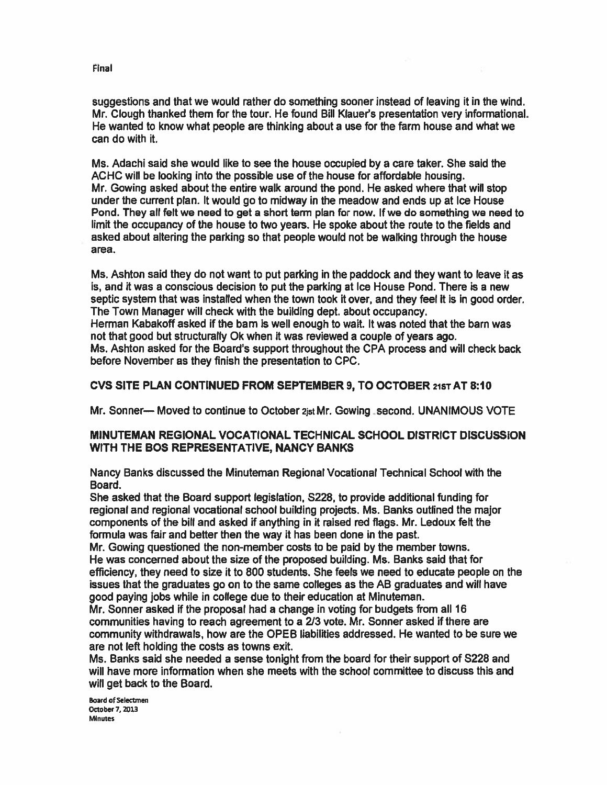suggestions and that we would rather do something sooner instead of leaving it in the wind. Mr. Clough thanked them for the tour. He found Bill Klauer's presentation very informational. He wanted to know what people are thinking about <sup>a</sup> use for the farm house and what we can do with it.

Ms. Adachi said she would like to see the house occupied by <sup>a</sup> care taker. She said the ACHC will be looking into the possible use of the house for affordable housing. Mr. Cowing asked about the entire walk around the pond. He asked where that will stop under the current plan. It would go to midway in the meadow and ends up at Ice House Pond. They all felt we need to ge<sup>t</sup> <sup>a</sup> short term plan for now. If we do something we need to limit the occupancy of the house to two years. He spoke about the route to the fields and asked about altering the parking so that people would not be walking through the house area.

Ms. Ashton said they do not want to pu<sup>t</sup> parking in the paddock and they want to leave it as is, and it was <sup>a</sup> conscious decision to pu<sup>t</sup> the parking at Ice House Pond. There is <sup>a</sup> new septic system that was installed when the town took it over, and they feel it is in good order. The Town Manager will check with the building dept. about occupancy. Herman Kabakoff asked if the barn is well enough to wait. It was noted that the barn was not that good but structurally Ok when it was reviewed <sup>a</sup> couple of years ago. Ms. Ashton asked for the Board's suppor<sup>t</sup> throughout the CPA process and will check back before November as they finish the presentation to CPC.

#### CVS SITE PLAN CONTINUED FROM SEPTEMBER 9, TO OCTOBER 21ST AT 8:10

Mr. Sonner— Moved to continue to October 2js1 Mr. Cowing ,second. UNANIMOUS VOTE

#### MINUTEMAN REGIONAL VOCATIONAL TECHNICAL SCHOOL DISTRICT DISCUSSION WITH THE BOS REPRESENTATIVE, NANCY BANKS

Nancy Banks discussed the Minuteman Regional Vocational Technical School with the Board.

She asked that the Board suppor<sup>t</sup> legislation, 5228, to provide additional funding for regional and regional vocational school building projects. Ms. Banks outlined the major components of the bill and asked if anything in it raised red flags. Mr. Ledoux felt the formula was fair and better then the way it has been done in the past.

Mr. Cowing questioned the non-member costs to be paid by the member towns. He was concerned about the size of the proposed building. Ms. Banks said that for efficiency, they need to size it to 800 students. She feels we need to educate people on the issues that the graduates go on to the same colleges as the AB graduates and will have good paying jobs while in college due to their education at Minuteman.

Mr. Sonner asked if the proposal had <sup>a</sup> change in voting for budgets from all 16 communities having to reach agreemen<sup>t</sup> to <sup>a</sup> 213 vote. Mr. Sonner asked if there are community withdrawals, how are the OPEB liabilities addressed. He wanted to be sure we are not left holding the costs as towns exit.

Ms. Banks said she needed <sup>a</sup> sense tonight from the board for their suppor<sup>t</sup> of S228 and will have more information when she meets with the school committee to discuss this and will ge<sup>t</sup> back to the Board.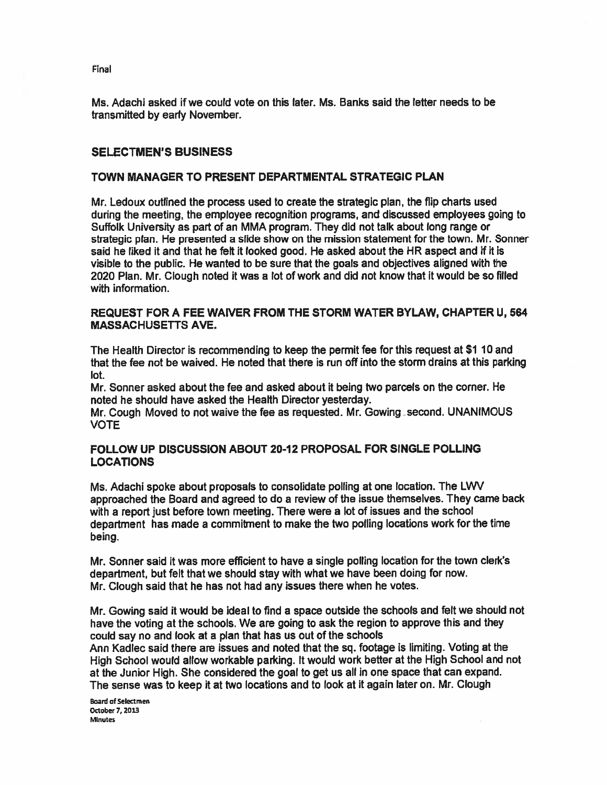Ms. Adachi asked if we could vote on this later. Ms. Banks said the letter needs to be transmitted by early November.

#### SELECTMEN'S BUSINESS

#### TOWN MANAGER TO PRESENT DEPARTMENTAL STRATEGIC PLAN

Mr. Ledoux outlined the process used to create the strategic plan, the flip charts used during the meeting, the employee recognition programs, and discussed employees going to Suffolk University as par<sup>t</sup> of an MMA program. They did not talk about long range or strategic plan. He presented <sup>a</sup> slide show on the mission statement for the town. Mr. Sonner said he liked it and that he felt it looked good. He asked about the HR aspect and if it is visible to the public. He wanted to be sure that the goals and objectives aligned with the 2020 Plan. Mr. Clough noted it was <sup>a</sup> lot of work and did not know that it would be so filled with information.

#### REQUEST FOR A FEE WAIVER FROM THE STORM WATER BYLAW, CHAPTER U, 564 MASSACHUSETTS AVE.

The Health Director is recommending to keep the permit fee for this reques<sup>t</sup> at \$1 10 and that the fee not be waived. He noted that there is run off into the storm drains at this parking lot.

Mr. Sonner asked about the fee and asked about it being two parcels on the corner. He noted he should have asked the Health Director yesterday.

Mr. Cough Moved to not waive the fee as requested. Mr. Gowing second. UNANIMOUS VOTE

#### FOLLOW UP DISCUSSION ABOUT 20-12 PROPOSAL FOR SINGLE POLLING LOCATIONS

Ms. Adachi spoke about proposals to consolidate polling at one location. The LWV approached the Board and agreed to do <sup>a</sup> review of the issue themselves. They came back with <sup>a</sup> repor<sup>t</sup> just before town meeting. There were <sup>a</sup> lot of issues and the school department has made <sup>a</sup> commitment to make the two polling locations work for the time being.

Mr. Sonner said it was more efficient to have <sup>a</sup> single polling location for the town clerk's department, but felt that we should stay with what we have been doing for now. Mr. Clough said that he has not had any issues there when he votes.

Mr. Gowing said it would be ideal to find <sup>a</sup> space outside the schools and felt we should not have the voting at the schools. We are going to ask the region to approve this and they could say no and look at <sup>a</sup> plan that has us out of the schools

Ann Kadlec said there are issues and noted that the sq. footage is limiting. Voting at the High School would allow workable parking. It would work better at the High School and not at the Junior High. She considered the goa<sup>l</sup> to ge<sup>t</sup> us all in one space that can expand. The sense was to keep it at two locations and to look at it again later on. Mr. Clough

Board of Selectmen October 7, 2013 **Minutes** 

Final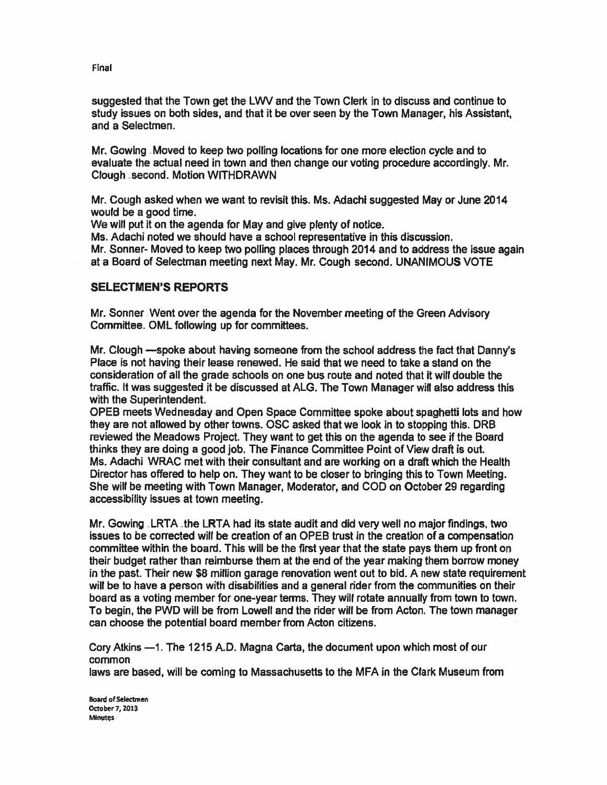suggested that the Town ge<sup>t</sup> the LWV and the Town Clerk in to discuss and continue to study issues on both sides, and that it be over seen by the Town Manager, his Assistant, and <sup>a</sup> Selectmen.

Mr. Cowing Moved to keep two polling locations for one more election cycle and to evaluate the actual need in town and then change our voting procedure accordingly. Mr. Clough second. Motion WITHDRAWN

Mr. Cough asked when we want to revisit this. Ms. Adachi suggested May or June 2014 would be <sup>a</sup> good time.

We will pu<sup>t</sup> it on the agenda for May and give plenty of notice.

Ms. Adachi noted we should have <sup>a</sup> school representative in this discussion. Mr. Sonner- Moved to keep two polling places through 2014 and to address the issue again at <sup>a</sup> Board of Selectman meeting next May. Mr. Cough second. UNANIMOUS VOTE

#### SELECTMEN'S REPORTS

Mr. Sonner .Went over the agenda for the November meeting of the Green Advisory Committee. OML following up for committees.

Mr. Clough —spoke about having someone from the school address the fact that Danny's Place is not having their lease renewed. He said that we need to take <sup>a</sup> stand on the consideration of all the grade schools on one bus route and noted that it will double the traffic. It was suggested it be discussed at ALG. The Town Manager will also address this with the Superintendent.

OPEB meets Wednesday and Open Space Committee spoke about spaghetti lots and how they are not allowed by other towns. OSC asked that we look in to stopping this. DRB reviewed the Meadows Project. They want to ge<sup>t</sup> this on the agenda to see if the Board thinks they are doing <sup>a</sup> good job. The Finance Committee Point of View draft is out. Ms. Adachi WRAC met with their consultant and are working on <sup>a</sup> draft which the Health Director has offered to help on. They want to be closer to bringing this to Town Meeting. She will be meeting with Town Manager, Moderator, and COD on October29 regarding accessibility issues at town meeting.

Mr. Gowing LRTA the LRTA had its state audit and did very well no major findings, two issues to be corrected will be creation of an OPEB trust in the creation of <sup>a</sup> compensation committee within the board. This will be the first year that the state pays them up front on their budget rather than reimburse them at the end of the year making them borrow money in the past. Their new \$8 million garage renovation went out to bid. A new state requirement will be to have <sup>a</sup> person with disabilities and <sup>a</sup> general rider from the communities on their board as <sup>a</sup> voting member for one-year terms. They will rotate annually from town to town. To begin, the PWD will be from Lowell and the rider will be from Acton. The town manager can choose the potential board member from Acton citizens.

Cory Atkins —1. The 1215 A.D. Magna Carta, the document upon which most of our common laws are based, will be coming to Massachusetts to the MFA in the Clark Museum from

Board of Selectmen October 7, 2013 Minutes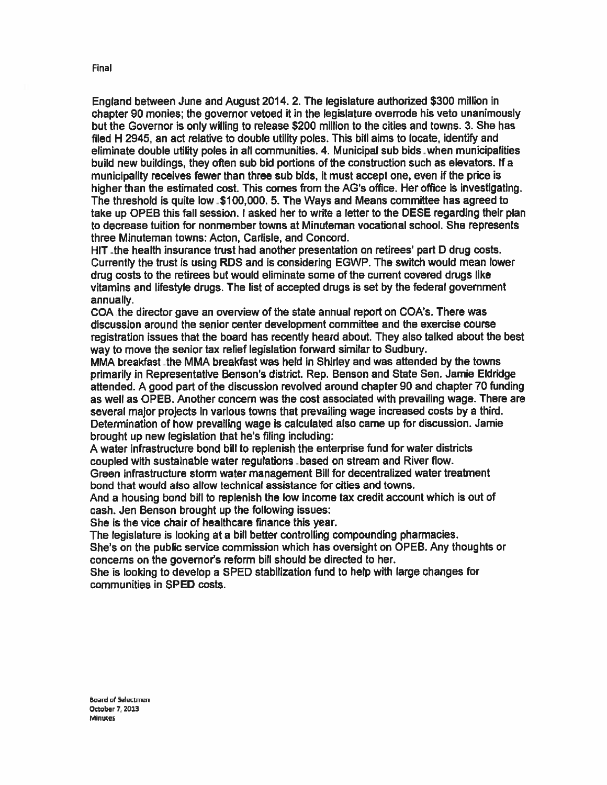England between June and August 2014. 2. The legislature authorized \$300 million in chapter 90 monies; the governor vetoed it in the legislature overrode his veto unanimously but the Governor is only willing to release \$200 million to the cities and towns. 3. She has filed <sup>H</sup> 2945, an act relative to double utility poles. This bill aims to locate, identify and eliminate double utility poles in all communities. 4. Municipal sub bids when municipalities build new buildings, they oflen sub bid portions of the construction such as elevators. If <sup>a</sup> municipality receives fewer than three sub bids, it must accep<sup>t</sup> one, even if the price is higher than the estimated cost. This comes from the AG's office. Her office is investigating. The threshold is quite low -\$100,000.5. The Ways and Means committee has agreed to take up OPEB this fall session. <sup>I</sup> asked her to write <sup>a</sup> letter to the DESE regarding their plan to decrease tuition for nonmember towns at Minuteman vocational school. She represents three Minuteman towns: Acton, Carlisle, and Concord.

HIT -the health insurance trust had another presentation on retirees' par<sup>t</sup> <sup>D</sup> drug costs. Currently the trust is using RDS and is considering EGWP. The switch would mean lower drug costs to the retirees but would eliminate some of the current covered drugs like vitamins and lifestyle drugs. The list of accepted drugs is set by the federal governmen<sup>t</sup> annually.

COA the director gave an overview of the state annual repor<sup>t</sup> on COA's. There was discussion around the senior center development committee and the exercise course registration issues that the board has recently heard about. They also talked about the best way to move the senior tax relief legislation forward similar to Sudbury.

MMA breakfast the MMA breakfast was held in Shirley and was attended by the towns primarily in Representative Benson's district. Rep. Benson and State Sen. Jamie Eldridge attended. <sup>A</sup> good par<sup>t</sup> of the discussion revolved around chapter 90 and chapter 70 funding as well as OPEB. Another concern was the cost associated with prevailing wage. There are several major projects in various towns that prevailing wage increased costs by <sup>a</sup> third. Determination of how prevailing wage is calculated also came up for discussion. Jamie brought up new legislation that he's filing including:

<sup>A</sup> water infrastructure bond bill to replenish the enterprise fund for water districts coupled with sustainable water regulations -based on stream and River flow.

Green infrastructure storm water managemen<sup>t</sup> Bill for decentralized water treatment bond that would also allow technical assistance for cities and towns.

And <sup>a</sup> housing bond bill to replenish the low income tax credit account which is out of cash. Jen Benson brought up the following issues:

She is the vice chair of healthcare finance this year.

The legislature is looking at <sup>a</sup> bill better controlling compounding <sup>p</sup>harmacies.

She's on the public service commission which has oversight on OPEB. Any thoughts or concerns on the governor's reform bill should be directed to her.

She is looking to develop <sup>a</sup> SPED stabilization fund to help with large changes for communities in SPED costs.

Board of Selectmen October 7, 2013 Minutes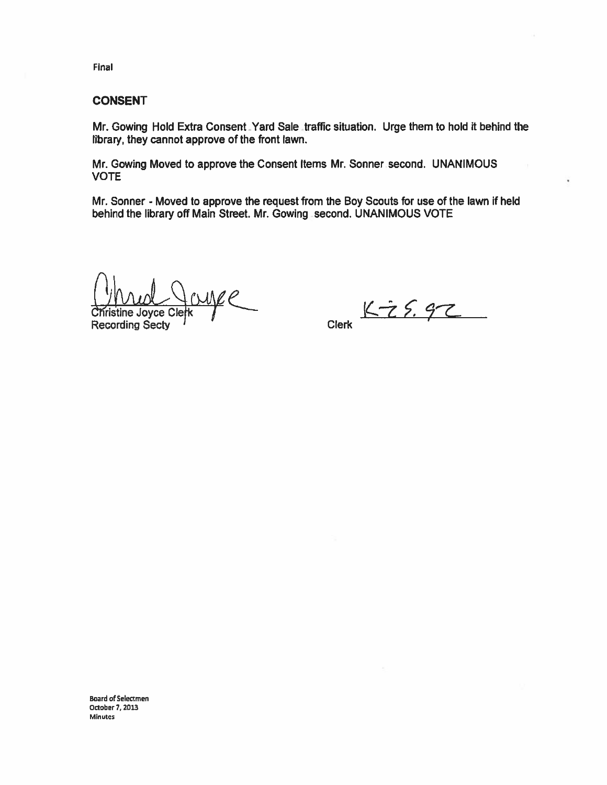Final

#### CONSENT

Mr. Cowing Hold Extra Consent-Yard Sale traffic situation. Urge them to hold it behind the library, they cannot approve of the front lawn. inal<br>
SONSENT<br>
Ar. Gowing Hold Extra Consent Yard Sale traffic situation. Urge them<br>
brary, they cannot approve of the front lawn.<br>
Ar. Gowing Moved to approve the Consent Items Mr. Sonner second.<br>
COTE<br>
Ar. Sonner - Moved

Mr. Cowing Moved to approve the Consent Items Mr. Sonner second. UNANIMOUS VOTE

Mr. Sonner - Moved to approve the reques<sup>t</sup> from the Boy Scouts for use of the lawn if held behind the library off Main Street. Mr. Gowing second. UNANIMOUS VOTE

dTiristine Joyce Clerk PC<br>Christine Joyce Clerk PC<br>Recording Secty '' Clerk Clerk

Board of Selectmen October 7,2013 Minutes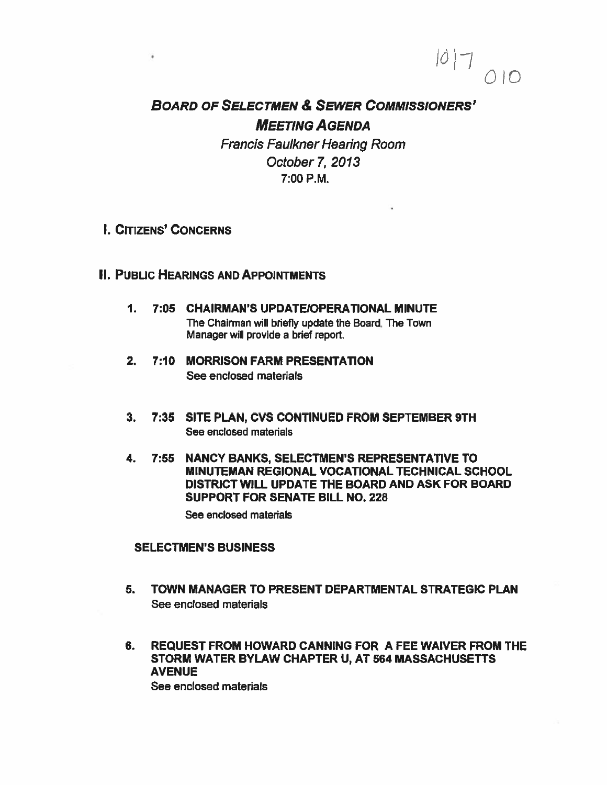# BOARD OF SELECTMEN & SEWER COMMISSIONERS' MEETING AGENDA

 $\bigcap$ 

 $|0|$ 

Francis Faulkner Hearing Room October 7, 2013 7:00 P.M.

I. CITIZENS' CONCERNS

 $\ddot{\phantom{1}}$ 

### **II. PUBLIC HEARINGS AND APPOINTMENTS**

- 1. 7:05 CHAIRMAN'S UPDATE!OPERATIONAL MINUTE The Chairman will briefly update the Board. The Town Manager will provide <sup>a</sup> brief report.
- 2. 7:10 MORRISON FARM PRESENTATION See enclosed materials
- 3. 7:35 SITE PLAN, CVS CONTINUED FROM SEPTEMBER 9TH See enclosed materials
- 4. 7:55 NANCY BANKS, SELECTMEN'S REPRESENTATIVE TO MINUTEMAN REGIONAL VOCATIONAL TECHNICAL SCHOOL DISTRICT WILL UPDATE THE BOARD AND ASK FOR BOARD SUPPORT FOR SENATE BILL NO. 228

See enclosed materials

#### SELECTMEN'S BUSINESS

- 5. TOWN MANAGER TO PRESENT DEPARTMENTAL STRATEGIC PLAN See enclosed materials
- 6. REQUEST FROM HOWARD CANNING FOR A FEE WAIVER FROM THE STORM WATER BYLAW CHAPTER U, AT 564 MASSACHUSETTS **AVENUE**

See enclosed materials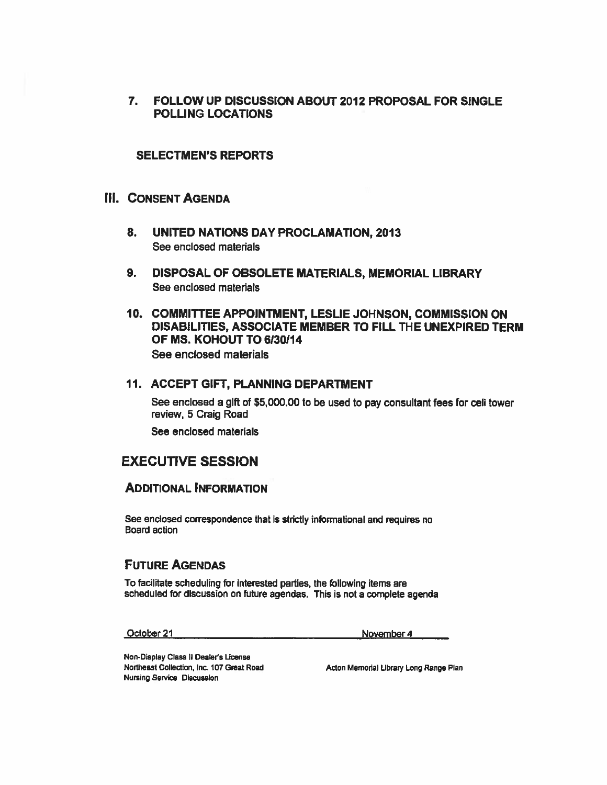7. FOLLOW UP DISCUSSION ABOUT 2012 PROPOSAL FOR SINGLE POLLING LOCATIONS

#### SELECTMEN'S REPORTS

### III. CONSENT AGENDA

- 8. UNITED NATIONS DAY PROCLAMATION, 2013 See enclosed materials
- 9. DISPOSAL OF OBSOLETE MATERIALS, MEMORIAL LIBRARY See enclosed materials
- 10. COMMITTEE APPOINTMENT, LESLIE JOHNSON, COMMISSION ON DISABILITIES, ASSOCIATE MEMBER TO FILL THE UNEXPIRED TERM OF MS. KOHOUT TO 6130114 See enclosed materials

#### 11. ACCEPT GIFT, PLANNING DEPARTMENT

See enclosed a glft of \$5,000.00 to be used to pay consultant fees for cell tower review, 5 Craig Road

See enclosed materials

# EXECUTIVE SESSION

#### ADDITIONAL INFORMATION

See enclosed correspondence that is strictly informational and requires no Board action

#### FUTURE AGENDAS

To facilitate scheduling for interested parties, the following items are scheduled for discussion on future agendas. This is not <sup>a</sup> complete agenda

October 21 November 4

Non-Display Class II Dealer's License Northeast Collection, Inc. 107 Great Road Acton Memorial Library Long Range Plan Nursing Service DiscussIon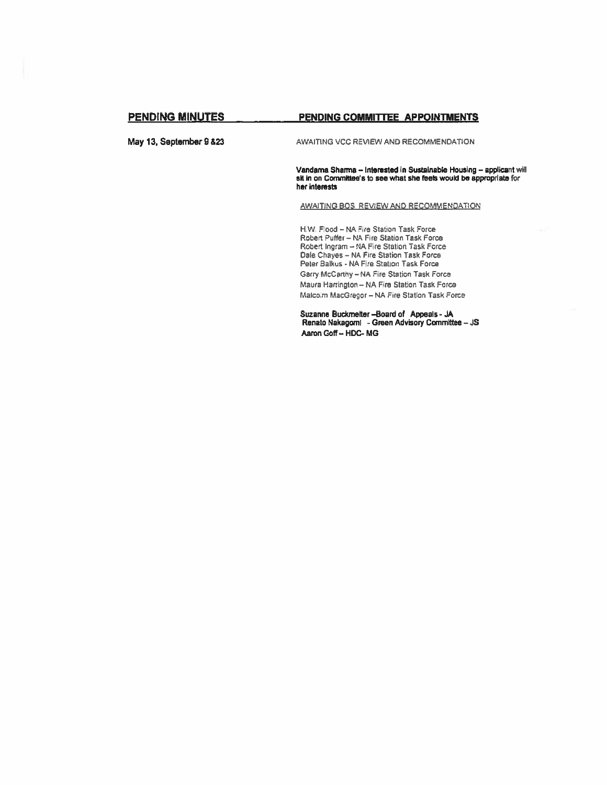#### PENDING MINUTES PENDING COMMITTEE APPOINTMENTS

May 13, September 9 &23 AWAITING VCC REVIEW AND RECOMMENDATION

Vandama Sharma - Interested in Sustainable Housing - applicant will sit in on Committee's to see what she feels would be appropriate for her interests

AWAITiNG BOS REVIEW AND RECOMMENDATION

NW. Flood — NA Fire Station Task Force Robert Puffer — NA Fire Station Task Force Robert Ingram — NA Fire Station Task Force Dale Chayes — NA Fire Station Task Force Peter Balkus - NA Fire Station Task Force Gerry McCanhy — NA Fire Station Task Force Maura Harrington — NA Fire Station Task Force Malcom MacGregor— NA Fire Station Task Force

Suzanne Buckmetter —Board of Appeals -JA Renato Nakagomi - Green Advisory Committee — JS Aaron Goff - HDC-MG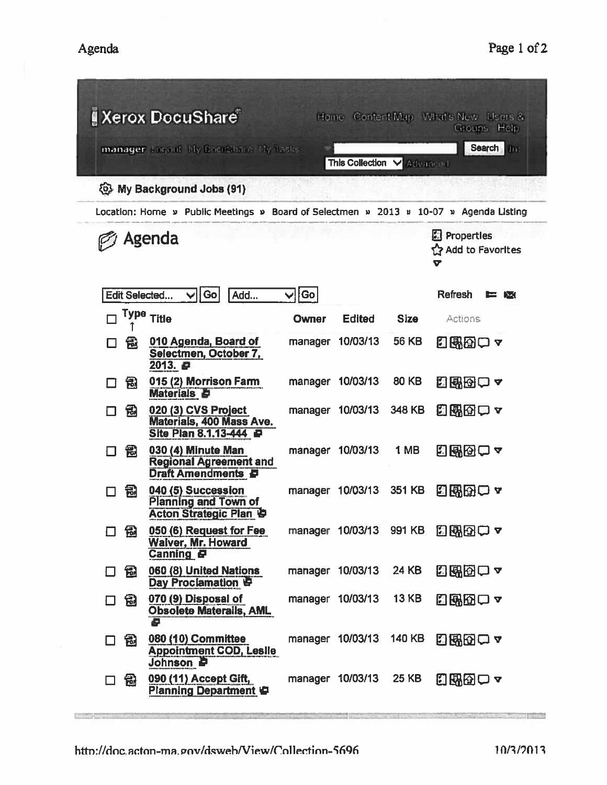| <b>A</b> Xerox DocuShare<br>Home Content Map What's New Users &<br>Groups Help        |                                                                                        |         |                         |              |                                                         |  |  |  |
|---------------------------------------------------------------------------------------|----------------------------------------------------------------------------------------|---------|-------------------------|--------------|---------------------------------------------------------|--|--|--|
| manager Logout My DocuShare My Tasks                                                  | Search<br>In:<br>This Collection V Advanced                                            |         |                         |              |                                                         |  |  |  |
| <b>E. My Background Jobs (91)</b>                                                     |                                                                                        |         |                         |              |                                                         |  |  |  |
| Location: Home » Public Meetings » Board of Selectmen » 2013 » 10-07 » Agenda Listing |                                                                                        |         |                         |              |                                                         |  |  |  |
|                                                                                       | Agenda                                                                                 |         |                         |              | <b>E</b> Properties<br><u>ናን</u> Add to Favorites<br>ъ. |  |  |  |
| Edit Selected                                                                         | Go<br>Add                                                                              | Go      |                         |              | Refresh<br>r.<br>$\sum$                                 |  |  |  |
| Туре<br>□                                                                             | <b>Title</b>                                                                           | Owner   | <b>Edited</b>           | <b>Size</b>  | Actions                                                 |  |  |  |
| 偈<br>ΙI                                                                               | 010 Agenda, Board of<br>Selectmen, October 7,<br>2013. 日                               | manager | 10/03/13                | <b>56 KB</b> | 幻既因□▼                                                   |  |  |  |
| 司<br>Ιł                                                                               | 015 (2) Morrison Farm<br><b>Materials P</b>                                            |         | manager 10/03/13        | <b>80 KB</b> | 日配因口~                                                   |  |  |  |
| 包<br>П                                                                                | 020 (3) CVS Project<br>Materials, 400 Mass Ave.<br>Site Plan 8.1.13-444                |         | manager 10/03/13        | 348 KB       | 日明田田々                                                   |  |  |  |
| 冠                                                                                     | 030 (4) Minute Man<br><b>Regional Agreement and</b><br><b>Draft Amendments P</b>       |         | manager 10/03/13        | 1 MB         | 日曜団ロャ                                                   |  |  |  |
| 冠<br>┓                                                                                | 040 (5) Succession<br><b>Planning and Town of</b><br><b>Acton Strategic Plan &amp;</b> | manager | 10/03/13                | 351 KB       | 可附因ロュ                                                   |  |  |  |
| 囹<br>◻                                                                                | 050 (6) Request for Fee<br><b>Walver, Mr. Howard</b><br><b>Canning P</b>               |         | manager 10/03/13 991 KB |              | 日曜田一~                                                   |  |  |  |
| 囹<br>П                                                                                | 060 (8) United Nations<br>Day Proclamation                                             |         | manager 10/03/13        | 24 KB        | 日昭田口~                                                   |  |  |  |
| 园<br>$\Box$                                                                           | 070 (9) Disposal of<br><b>Obsolete Materails, AML</b><br>ē                             |         | manager 10/03/13        | <b>13 KB</b> | 日邸囚口~                                                   |  |  |  |
| 园<br>□                                                                                | 080 (10) Committee<br><b>Appointment COD, Leslle</b><br>Johnson <b>P</b>               |         | manager 10/03/13        | 140 KB       | 558007                                                  |  |  |  |
| 冠<br>□                                                                                | 090 (11) Accept Gift,<br>Planning Department                                           |         | manager 10/03/13        | 25 KB        | 日昭図ロャ                                                   |  |  |  |

**Description** 

**SAN Louisval**